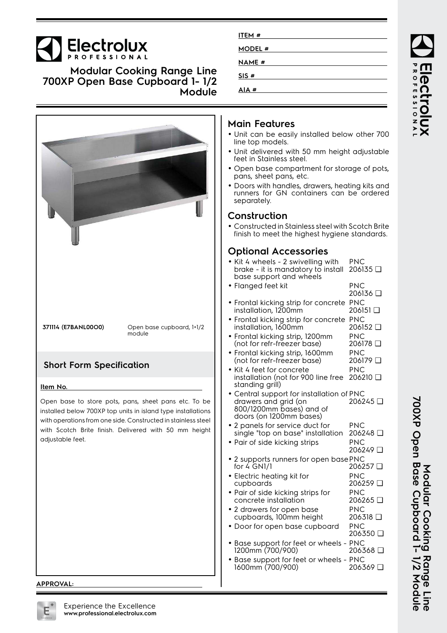#### **Electrolux NAME # Modular Cooking Range Line SIS # 700XP Open Base Cupboard 1- 1/2 AIA # Module Main Features** • Unit can be easily installed below other 700 line top models. • Unit delivered with 50 mm height adjustable feet in Stainless steel. • Open base compartment for storage of pots, pans, sheet pans, etc. • Doors with handles, drawers, heating kits and runners for GN containers can be ordered separately. **Construction** • Constructed in Stainless steel with Scotch Brite finish to meet the highest hygiene standards. **Optional Accessories** PNC • Kit 4 wheels - 2 swivelling with 206135 ❑ brake - it is mandatory to install base support and wheels • Flanged feet kit PNC 206136 ❑ • Frontal kicking strip for concrete PNC installation, 1200mm 206151 ❑ Frontal kicking strip for concrete PNC •**371114 (E7BANL00O0)** Open base cupboard, 1+1/2 installation, 1600mm 206152 ❑ module PNC • Frontal kicking strip, 1200mm (not for refr-freezer base) 206178 ❑ PNC • Frontal kicking strip, 1600mm (not for refr-freezer base) 206179 ❑ **Short Form Specification** PNC • Kit 4 feet for concrete installation (not for 900 line free 206210 ❑ standing grill) **Item No.** Central support for installation of PNC •Open base to store pots, pans, sheet pans etc. To be drawers and grid (on 206245 ❑ 800/1200mm bases) and of installed below 700XP top units in island type installations doors (on 1200mm bases) with operations from one side. Constructed in stainless steel 2 panels for service duct for PNC •with Scotch Brite finish. Delivered with 50 mm height single "top on base" installation 206248 ❑ adjustable feet. • Pair of side kicking strips PNC 206249 ❑ • 2 supports runners for open base PNC for  $4$  GN1/1 206257 ❑ PNC • Electric heating kit for 206259 ❑ cupboards PNC • Pair of side kicking strips for concrete installation 206265 ❑ • 2 drawers for open base PNC cupboards, 100mm height 206318 ❑ • Door for open base cupboard PNC 206350 ❑

**ITEM # MODEL #**

- Base support for feet or wheels PNC 1200mm (700/900) 206368 ❑
- Base support for feet or wheels PNC 1600mm (700/900) 206369 ❑

#### **APPROVAL:**



**ROFESSIONA**  $\overline{\overline{O}}$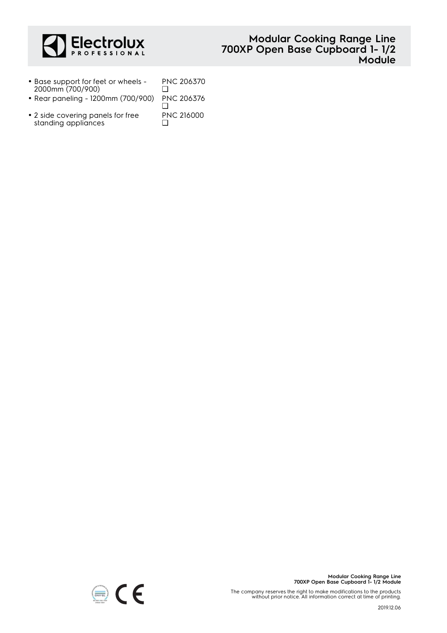

## **Modular Cooking Range Line 700XP Open Base Cupboard 1- 1/2 Module**

- Base support for feet or wheels 2000mm (700/900) PNC 206370  $\Box$
- Rear paneling 1200mm (700/900) PNC 206376
- 2 side covering panels for free standing appliances

❑ PNC 216000  $\Box$ 



The company reserves the right to make modifications to the products without prior notice. All information correct at time of printing.